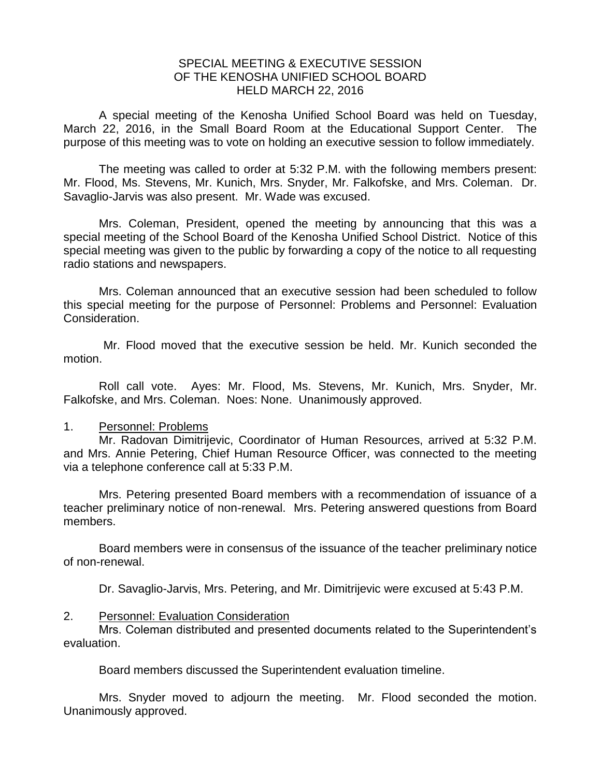## SPECIAL MEETING & EXECUTIVE SESSION OF THE KENOSHA UNIFIED SCHOOL BOARD HELD MARCH 22, 2016

A special meeting of the Kenosha Unified School Board was held on Tuesday, March 22, 2016, in the Small Board Room at the Educational Support Center. The purpose of this meeting was to vote on holding an executive session to follow immediately.

The meeting was called to order at 5:32 P.M. with the following members present: Mr. Flood, Ms. Stevens, Mr. Kunich, Mrs. Snyder, Mr. Falkofske, and Mrs. Coleman. Dr. Savaglio-Jarvis was also present. Mr. Wade was excused.

Mrs. Coleman, President, opened the meeting by announcing that this was a special meeting of the School Board of the Kenosha Unified School District. Notice of this special meeting was given to the public by forwarding a copy of the notice to all requesting radio stations and newspapers.

Mrs. Coleman announced that an executive session had been scheduled to follow this special meeting for the purpose of Personnel: Problems and Personnel: Evaluation Consideration.

Mr. Flood moved that the executive session be held. Mr. Kunich seconded the motion.

Roll call vote. Ayes: Mr. Flood, Ms. Stevens, Mr. Kunich, Mrs. Snyder, Mr. Falkofske, and Mrs. Coleman. Noes: None. Unanimously approved.

## 1. Personnel: Problems

Mr. Radovan Dimitrijevic, Coordinator of Human Resources, arrived at 5:32 P.M. and Mrs. Annie Petering, Chief Human Resource Officer, was connected to the meeting via a telephone conference call at 5:33 P.M.

Mrs. Petering presented Board members with a recommendation of issuance of a teacher preliminary notice of non-renewal. Mrs. Petering answered questions from Board members.

Board members were in consensus of the issuance of the teacher preliminary notice of non-renewal.

Dr. Savaglio-Jarvis, Mrs. Petering, and Mr. Dimitrijevic were excused at 5:43 P.M.

## 2. Personnel: Evaluation Consideration

Mrs. Coleman distributed and presented documents related to the Superintendent's evaluation.

Board members discussed the Superintendent evaluation timeline.

Mrs. Snyder moved to adjourn the meeting. Mr. Flood seconded the motion. Unanimously approved.